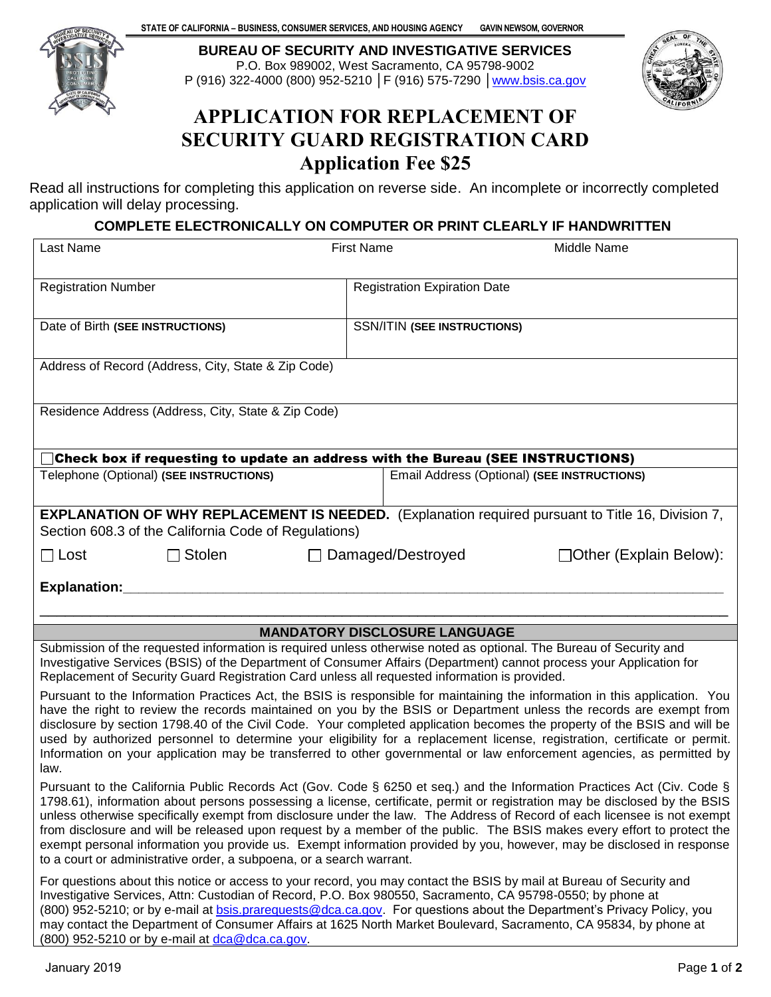**STATE OF CALIFORNIA – BUSINESS, CONSUMER SERVICES, AND HOUSING AGENCY** GAVIN NEWSOM, GOVERNOR 



**BUREAU OF SECURITY AND INVESTIGATIVE SERVICES**  P.O. Box 989002, West Sacramento, CA 95798-9002 P (916) 322-4000 (800) 952-5210 │F (916) 575-7290 │www.bsis.ca.gov



# APPLICATION FOR REPLACEMENT OF SECURITY GUARD REGISTRATION CARD Application Fee \$25

 Read all instructions for completing this application on reverse side. An incomplete or incorrectly completed application will delay processing.

#### **COMPLETE ELECTRONICALLY ON COMPUTER OR PRINT CLEARLY IF HANDWRITTEN**

| Last Name                                                                                                                                                                                                                                                                                                                                                                                                                                                                                                                                                                                                                                                                                                     | <b>First Name</b>                   | Middle Name                                 |
|---------------------------------------------------------------------------------------------------------------------------------------------------------------------------------------------------------------------------------------------------------------------------------------------------------------------------------------------------------------------------------------------------------------------------------------------------------------------------------------------------------------------------------------------------------------------------------------------------------------------------------------------------------------------------------------------------------------|-------------------------------------|---------------------------------------------|
| <b>Registration Number</b>                                                                                                                                                                                                                                                                                                                                                                                                                                                                                                                                                                                                                                                                                    | <b>Registration Expiration Date</b> |                                             |
| Date of Birth (SEE INSTRUCTIONS)                                                                                                                                                                                                                                                                                                                                                                                                                                                                                                                                                                                                                                                                              | <b>SSN/ITIN (SEE INSTRUCTIONS)</b>  |                                             |
| Address of Record (Address, City, State & Zip Code)                                                                                                                                                                                                                                                                                                                                                                                                                                                                                                                                                                                                                                                           |                                     |                                             |
| Residence Address (Address, City, State & Zip Code)                                                                                                                                                                                                                                                                                                                                                                                                                                                                                                                                                                                                                                                           |                                     |                                             |
| Check box if requesting to update an address with the Bureau (SEE INSTRUCTIONS)                                                                                                                                                                                                                                                                                                                                                                                                                                                                                                                                                                                                                               |                                     |                                             |
| Telephone (Optional) (SEE INSTRUCTIONS)                                                                                                                                                                                                                                                                                                                                                                                                                                                                                                                                                                                                                                                                       |                                     | Email Address (Optional) (SEE INSTRUCTIONS) |
| <b>EXPLANATION OF WHY REPLACEMENT IS NEEDED.</b> (Explanation required pursuant to Title 16, Division 7,<br>Section 608.3 of the California Code of Regulations)                                                                                                                                                                                                                                                                                                                                                                                                                                                                                                                                              |                                     |                                             |
| $\Box$ Lost<br>$\Box$ Stolen                                                                                                                                                                                                                                                                                                                                                                                                                                                                                                                                                                                                                                                                                  | Damaged/Destroyed                   | $\Box$ Other (Explain Below):               |
| <b>Explanation:</b>                                                                                                                                                                                                                                                                                                                                                                                                                                                                                                                                                                                                                                                                                           |                                     |                                             |
|                                                                                                                                                                                                                                                                                                                                                                                                                                                                                                                                                                                                                                                                                                               |                                     |                                             |
| <b>MANDATORY DISCLOSURE LANGUAGE</b>                                                                                                                                                                                                                                                                                                                                                                                                                                                                                                                                                                                                                                                                          |                                     |                                             |
| Submission of the requested information is required unless otherwise noted as optional. The Bureau of Security and<br>Investigative Services (BSIS) of the Department of Consumer Affairs (Department) cannot process your Application for<br>Replacement of Security Guard Registration Card unless all requested information is provided.                                                                                                                                                                                                                                                                                                                                                                   |                                     |                                             |
| Pursuant to the Information Practices Act, the BSIS is responsible for maintaining the information in this application. You<br>have the right to review the records maintained on you by the BSIS or Department unless the records are exempt from<br>disclosure by section 1798.40 of the Civil Code. Your completed application becomes the property of the BSIS and will be<br>used by authorized personnel to determine your eligibility for a replacement license, registration, certificate or permit.<br>Information on your application may be transferred to other governmental or law enforcement agencies, as permitted by<br>law.                                                                 |                                     |                                             |
| Pursuant to the California Public Records Act (Gov. Code § 6250 et seq.) and the Information Practices Act (Civ. Code §<br>1798.61), information about persons possessing a license, certificate, permit or registration may be disclosed by the BSIS<br>unless otherwise specifically exempt from disclosure under the law. The Address of Record of each licensee is not exempt<br>from disclosure and will be released upon request by a member of the public. The BSIS makes every effort to protect the<br>exempt personal information you provide us. Exempt information provided by you, however, may be disclosed in response<br>to a court or administrative order, a subpoena, or a search warrant. |                                     |                                             |
| For questions about this notice or access to your record, you may contact the BSIS by mail at Bureau of Security and<br>Investigative Services, Attn: Custodian of Record, P.O. Box 980550, Sacramento, CA 95798-0550; by phone at<br>(800) 952-5210; or by e-mail at <b>bsis.prarequests@dca.ca.gov</b> . For questions about the Department's Privacy Policy, you<br>may contact the Department of Consumer Affairs at 1625 North Market Boulevard, Sacramento, CA 95834, by phone at<br>(800) 952-5210 or by e-mail at dca@dca.ca.gov.                                                                                                                                                                     |                                     |                                             |